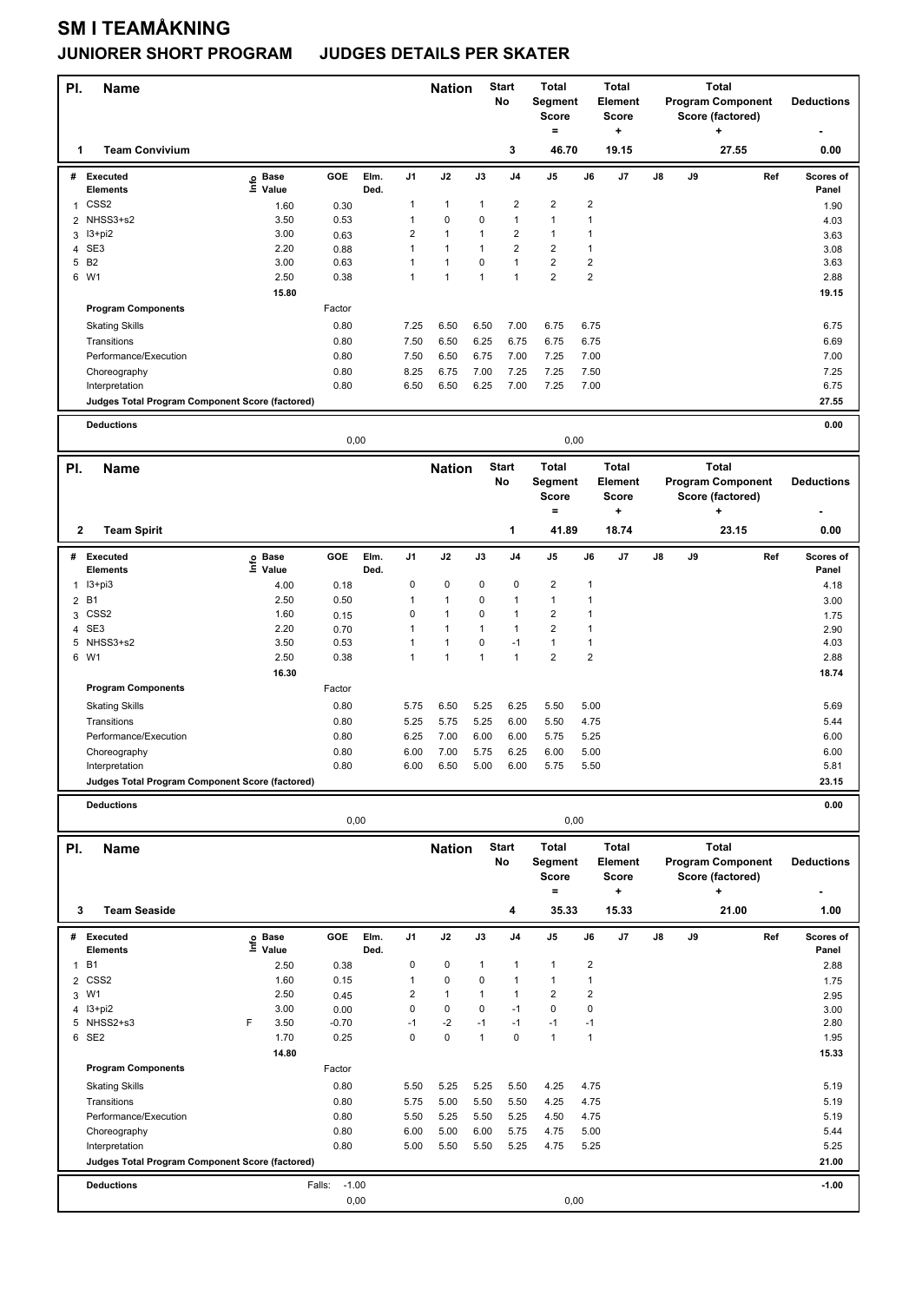## **SM I TEAMÅKNING**

## **JUNIORER SHORT PROGRAM JUDGES DETAILS PER SKATER**

| PI.<br>Name                                                       |                   |                   |      |                         | <b>Start</b><br><b>Nation</b><br>No |                   |                         | <b>Total</b><br>Score<br>$=$                                   | <b>Total</b><br>Element<br>Segment<br><b>Score</b><br>+ |                                                   | <b>Total</b><br><b>Program Component</b><br>Score (factored)<br>÷ |                   |                   | <b>Deductions</b> |
|-------------------------------------------------------------------|-------------------|-------------------|------|-------------------------|-------------------------------------|-------------------|-------------------------|----------------------------------------------------------------|---------------------------------------------------------|---------------------------------------------------|-------------------------------------------------------------------|-------------------|-------------------|-------------------|
| <b>Team Convivium</b><br>1                                        |                   |                   |      |                         |                                     |                   | 3                       | 46.70                                                          |                                                         | 19.15                                             |                                                                   |                   | 27.55             | 0.00              |
| # Executed                                                        | e Base<br>⊆ Value | GOE               | Elm. | J1                      | J2                                  | J3                | J <sub>4</sub>          | J5                                                             | J6                                                      | J7                                                | J8                                                                | J9                | Ref               | Scores of         |
| <b>Elements</b><br>CSS <sub>2</sub><br>$\mathbf{1}$               |                   |                   | Ded. | $\mathbf{1}$            | $\mathbf{1}$                        | $\mathbf{1}$      | $\overline{\mathbf{c}}$ | $\overline{\mathbf{c}}$                                        | $\overline{\mathbf{c}}$                                 |                                                   |                                                                   |                   |                   | Panel             |
| NHSS3+s2<br>2                                                     | 1.60<br>3.50      | 0.30<br>0.53      |      | 1                       | $\pmb{0}$                           | 0                 | $\mathbf{1}$            | 1                                                              | 1                                                       |                                                   |                                                                   |                   |                   | 1.90              |
| I3+pi2<br>3                                                       | 3.00              | 0.63              |      | $\overline{2}$          | $\mathbf{1}$                        | 1                 | $\overline{2}$          | $\mathbf{1}$                                                   | 1                                                       |                                                   |                                                                   |                   |                   | 4.03<br>3.63      |
| 4 SE3                                                             | 2.20              | 0.88              |      | $\mathbf{1}$            | $\mathbf{1}$                        | $\mathbf{1}$      | $\overline{2}$          | $\overline{2}$                                                 | 1                                                       |                                                   |                                                                   |                   |                   | 3.08              |
| B <sub>2</sub><br>5                                               | 3.00              | 0.63              |      | $\overline{1}$          | $\mathbf{1}$                        | 0                 | $\mathbf{1}$            | $\overline{\mathbf{c}}$                                        | $\mathbf 2$                                             |                                                   |                                                                   |                   |                   | 3.63              |
| 6 W1                                                              | 2.50              | 0.38              |      | $\overline{1}$          | $\mathbf{1}$                        | $\mathbf{1}$      | 1                       | $\overline{\mathbf{c}}$                                        | $\overline{2}$                                          |                                                   |                                                                   |                   |                   | 2.88              |
|                                                                   | 15.80             |                   |      |                         |                                     |                   |                         |                                                                |                                                         |                                                   |                                                                   |                   |                   | 19.15             |
| <b>Program Components</b>                                         |                   | Factor            |      |                         |                                     |                   |                         |                                                                |                                                         |                                                   |                                                                   |                   |                   |                   |
| <b>Skating Skills</b>                                             |                   | 0.80              |      | 7.25                    | 6.50                                | 6.50              | 7.00                    | 6.75                                                           | 6.75                                                    |                                                   |                                                                   |                   |                   | 6.75              |
| Transitions                                                       |                   | 0.80              |      | 7.50                    | 6.50                                | 6.25              | 6.75                    | 6.75                                                           | 6.75                                                    |                                                   |                                                                   |                   |                   | 6.69              |
| Performance/Execution                                             |                   | 0.80              |      | 7.50                    | 6.50                                | 6.75              | 7.00                    | 7.25                                                           | 7.00                                                    |                                                   |                                                                   |                   |                   | 7.00              |
| Choreography                                                      |                   | 0.80<br>0.80      |      | 8.25<br>6.50            | 6.75<br>6.50                        | 7.00<br>6.25      | 7.25<br>7.00            | 7.25<br>7.25                                                   | 7.50<br>7.00                                            |                                                   |                                                                   |                   |                   | 7.25<br>6.75      |
| Interpretation<br>Judges Total Program Component Score (factored) |                   |                   |      |                         |                                     |                   |                         |                                                                |                                                         |                                                   |                                                                   |                   |                   | 27.55             |
|                                                                   |                   |                   |      |                         |                                     |                   |                         |                                                                |                                                         |                                                   |                                                                   |                   |                   |                   |
| <b>Deductions</b><br>0.00<br>0,00<br>0,00                         |                   |                   |      |                         |                                     |                   |                         |                                                                |                                                         |                                                   |                                                                   |                   |                   |                   |
|                                                                   |                   |                   |      |                         |                                     |                   |                         |                                                                |                                                         |                                                   |                                                                   |                   |                   |                   |
| PI.<br><b>Name</b>                                                |                   |                   |      |                         | <b>Nation</b>                       |                   | <b>Start</b><br>No      | <b>Total</b><br>Segment<br><b>Score</b>                        |                                                         | <b>Total</b><br>Element<br>Score                  | <b>Total</b><br><b>Program Component</b><br>Score (factored)      |                   | <b>Deductions</b> |                   |
| 2<br><b>Team Spirit</b>                                           |                   |                   |      |                         |                                     |                   | 1                       | $=$<br>41.89                                                   |                                                         | +<br>18.74                                        |                                                                   |                   | ٠<br>23.15        | 0.00              |
| # Executed                                                        | e Base<br>⊑ Value | GOE               | Elm. | J1                      | J2                                  | J3                | J <sub>4</sub>          | J5                                                             | J6                                                      | J7                                                | J8                                                                | J9                | Ref               | Scores of         |
| <b>Elements</b>                                                   |                   |                   | Ded. |                         |                                     |                   |                         |                                                                |                                                         |                                                   |                                                                   |                   |                   | Panel             |
| $13 + pi3$<br>1                                                   | 4.00              | 0.18              |      | $\mathbf 0$             | $\pmb{0}$                           | 0                 | 0                       | $\overline{\mathbf{c}}$                                        | 1                                                       |                                                   |                                                                   |                   |                   | 4.18              |
| B <sub>1</sub><br>$\overline{2}$                                  | 2.50              | 0.50              |      | 1                       | $\mathbf{1}$                        | 0                 | 1                       | $\mathbf{1}$                                                   | 1                                                       |                                                   |                                                                   |                   |                   | 3.00              |
| 3 CSS2<br>SE <sub>3</sub>                                         | 1.60<br>2.20      | 0.15<br>0.70      |      | 0<br>$\mathbf{1}$       | 1<br>$\mathbf{1}$                   | 0<br>$\mathbf{1}$ | 1<br>$\mathbf{1}$       | $\overline{\mathbf{c}}$<br>$\overline{2}$                      | 1<br>1                                                  |                                                   |                                                                   |                   |                   | 1.75              |
| 4<br>5 NHSS3+s2                                                   | 3.50              | 0.53              |      | $\overline{1}$          | $\mathbf{1}$                        | 0                 | $-1$                    | $\mathbf{1}$                                                   | 1                                                       |                                                   |                                                                   |                   |                   | 2.90<br>4.03      |
| 6 W1                                                              | 2.50              | 0.38              |      | $\overline{1}$          | $\mathbf{1}$                        | $\mathbf{1}$      | $\mathbf{1}$            | $\overline{2}$                                                 | $\overline{2}$                                          |                                                   |                                                                   |                   |                   | 2.88              |
|                                                                   | 16.30             |                   |      |                         |                                     |                   |                         |                                                                |                                                         |                                                   |                                                                   |                   |                   | 18.74             |
| <b>Program Components</b>                                         |                   | Factor            |      |                         |                                     |                   |                         |                                                                |                                                         |                                                   |                                                                   |                   |                   |                   |
| <b>Skating Skills</b>                                             |                   | 0.80              |      | 5.75                    | 6.50                                | 5.25              | 6.25                    | 5.50                                                           | 5.00                                                    |                                                   |                                                                   |                   |                   | 5.69              |
| Transitions                                                       |                   | 0.80              |      | 5.25                    | 5.75                                | 5.25              | 6.00                    | 5.50                                                           | 4.75                                                    |                                                   |                                                                   |                   |                   | 5.44              |
| Performance/Execution                                             |                   | 0.80              |      | 6.25                    | 7.00                                | 6.00              | 6.00                    | 5.75                                                           | 5.25                                                    |                                                   |                                                                   |                   |                   | 6.00              |
| Choreography                                                      |                   | 0.80              |      | 6.00                    | 7.00                                | 5.75              | 6.25                    | 6.00                                                           | 5.00                                                    |                                                   |                                                                   |                   |                   | 6.00              |
| Interpretation                                                    |                   | 0.80              |      | 6.00                    | 6.50                                | 5.00              | 6.00                    | 5.75                                                           | 5.50                                                    |                                                   |                                                                   |                   |                   | 5.81              |
| Judges Total Program Component Score (factored)                   |                   |                   |      |                         |                                     |                   |                         |                                                                |                                                         |                                                   |                                                                   |                   |                   | 23.15             |
| <b>Deductions</b>                                                 |                   |                   | 0,00 |                         |                                     |                   |                         | 0,00                                                           |                                                         |                                                   |                                                                   |                   |                   | 0.00              |
| PI.<br><b>Name</b>                                                |                   | <b>Nation</b>     |      | <b>Start</b>            | <b>Total</b><br><b>Total</b>        |                   |                         | <b>Total</b>                                                   |                                                         |                                                   |                                                                   |                   |                   |                   |
|                                                                   |                   |                   |      |                         |                                     |                   | No                      | Segment<br>Element<br><b>Score</b><br><b>Score</b><br>$=$<br>÷ |                                                         | <b>Program Component</b><br>Score (factored)<br>٠ |                                                                   | <b>Deductions</b> |                   |                   |
| <b>Team Seaside</b><br>3                                          |                   |                   |      |                         |                                     |                   | 4                       | 35.33                                                          |                                                         | 15.33                                             |                                                                   |                   | 21.00             | 1.00              |
| # Executed                                                        | e Base<br>⊑ Value | GOE               | Elm. | J1                      | J2                                  | J3                | J4                      | J5                                                             | J6                                                      | J7                                                | J8                                                                | J9                | Ref               | Scores of         |
| <b>Elements</b><br><b>B1</b>                                      |                   |                   | Ded. | 0                       | 0                                   | $\mathbf{1}$      | 1                       | $\mathbf{1}$                                                   | 2                                                       |                                                   |                                                                   |                   |                   | Panel             |
| 1<br>CSS <sub>2</sub><br>$\overline{\mathbf{c}}$                  | 2.50<br>1.60      | 0.38<br>0.15      |      | $\mathbf{1}$            | $\pmb{0}$                           | 0                 | 1                       | 1                                                              | $\mathbf{1}$                                            |                                                   |                                                                   |                   |                   | 2.88              |
| 3 W1                                                              | 2.50              | 0.45              |      | $\overline{\mathbf{c}}$ | $\mathbf{1}$                        | 1                 | 1                       | $\overline{\mathbf{c}}$                                        | $\overline{\mathbf{c}}$                                 |                                                   |                                                                   |                   |                   | 1.75<br>2.95      |
| $13 + pi2$<br>4                                                   | 3.00              | 0.00              |      | $\mathbf 0$             | $\pmb{0}$                           | 0                 | $-1$                    | 0                                                              | 0                                                       |                                                   |                                                                   |                   |                   | 3.00              |
| 5 NHSS2+s3                                                        | 3.50<br>F         | $-0.70$           |      | -1                      | $-2$                                | $-1$              | $-1$                    | $-1$                                                           | $-1$                                                    |                                                   |                                                                   |                   |                   | 2.80              |
| 6 SE2                                                             | 1.70              | 0.25              |      | $\mathbf 0$             | 0                                   | $\mathbf{1}$      | 0                       | $\mathbf{1}$                                                   | $\mathbf{1}$                                            |                                                   |                                                                   |                   |                   | 1.95              |
|                                                                   | 14.80             |                   |      |                         |                                     |                   |                         |                                                                |                                                         |                                                   |                                                                   |                   |                   | 15.33             |
| <b>Program Components</b>                                         |                   | Factor            |      |                         |                                     |                   |                         |                                                                |                                                         |                                                   |                                                                   |                   |                   |                   |
| <b>Skating Skills</b>                                             |                   | 0.80              |      | 5.50                    | 5.25                                | 5.25              | 5.50                    | 4.25                                                           | 4.75                                                    |                                                   |                                                                   |                   |                   | 5.19              |
| Transitions                                                       |                   | 0.80              |      | 5.75                    | 5.00                                | 5.50              | 5.50                    | 4.25                                                           | 4.75                                                    |                                                   |                                                                   |                   |                   | 5.19              |
| Performance/Execution                                             |                   | 0.80              |      | 5.50                    | 5.25                                | 5.50              | 5.25                    | 4.50                                                           | 4.75                                                    |                                                   |                                                                   |                   |                   | 5.19              |
| Choreography                                                      |                   | 0.80              |      | 6.00                    | 5.00                                | 6.00              | 5.75                    | 4.75                                                           | 5.00                                                    |                                                   |                                                                   |                   |                   | 5.44              |
| Interpretation                                                    |                   | 0.80              |      | 5.00                    | 5.50                                | 5.50              | 5.25                    | 4.75                                                           | 5.25                                                    |                                                   |                                                                   |                   |                   | 5.25              |
| Judges Total Program Component Score (factored)                   |                   |                   |      |                         |                                     |                   |                         |                                                                |                                                         |                                                   |                                                                   |                   |                   | 21.00             |
| <b>Deductions</b>                                                 |                   | $-1.00$<br>Falls: | 0,00 |                         |                                     |                   |                         |                                                                |                                                         |                                                   |                                                                   |                   |                   | $-1.00$           |
|                                                                   |                   |                   |      | 0,00                    |                                     |                   |                         |                                                                |                                                         |                                                   |                                                                   |                   |                   |                   |